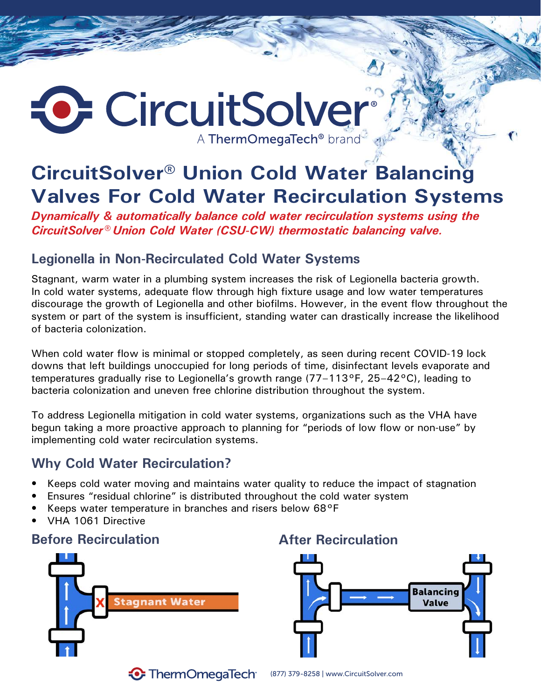# CircuitSolver® A ThermOmegaTech<sup>®</sup> brand

## **CircuitSolver® Union Cold Water Balancing Valves For Cold Water Recirculation Systems**

*Dynamically & automatically balance cold water recirculation systems using the CircuitSolver® Union Cold Water (CSU-CW) thermostatic balancing valve.*

### **Legionella in Non-Recirculated Cold Water Systems**

Stagnant, warm water in a plumbing system increases the risk of Legionella bacteria growth. In cold water systems, adequate flow through high fixture usage and low water temperatures discourage the growth of Legionella and other biofilms. However, in the event flow throughout the system or part of the system is insufficient, standing water can drastically increase the likelihood of bacteria colonization.

When cold water flow is minimal or stopped completely, as seen during recent COVID-19 lock downs that left buildings unoccupied for long periods of time, disinfectant levels evaporate and temperatures gradually rise to Legionella's growth range (77–113°F, 25–42°C), leading to bacteria colonization and uneven free chlorine distribution throughout the system.

To address Legionella mitigation in cold water systems, organizations such as the VHA have begun taking a more proactive approach to planning for "periods of low flow or non-use" by implementing cold water recirculation systems.

### **Why Cold Water Recirculation?**

- Keeps cold water moving and maintains water quality to reduce the impact of stagnation
- Ensures "residual chlorine" is distributed throughout the cold water system
- Keeps water temperature in branches and risers below 68°F
- VHA 1061 Directive

### **Before Recirculation After Recirculation**





**• ThermOmegaTech** 

(877) 379-8258 | www.CircuitSolver.com